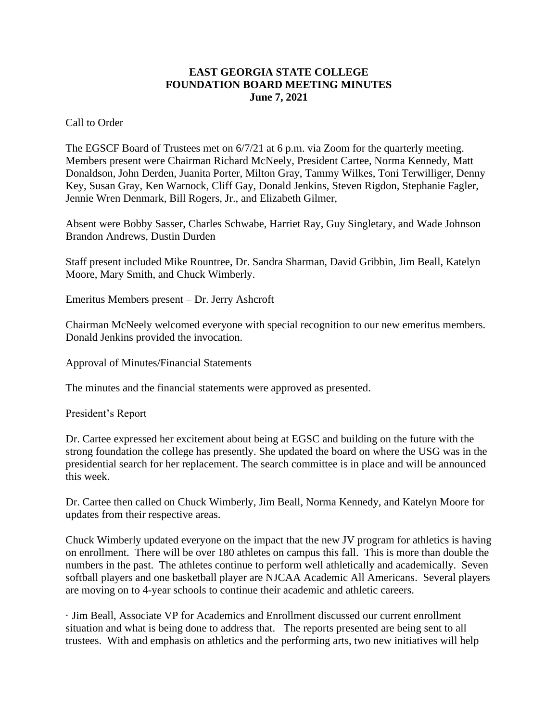## **EAST GEORGIA STATE COLLEGE FOUNDATION BOARD MEETING MINUTES June 7, 2021**

Call to Order

The EGSCF Board of Trustees met on 6/7/21 at 6 p.m. via Zoom for the quarterly meeting. Members present were Chairman Richard McNeely, President Cartee, Norma Kennedy, Matt Donaldson, John Derden, Juanita Porter, Milton Gray, Tammy Wilkes, Toni Terwilliger, Denny Key, Susan Gray, Ken Warnock, Cliff Gay, Donald Jenkins, Steven Rigdon, Stephanie Fagler, Jennie Wren Denmark, Bill Rogers, Jr., and Elizabeth Gilmer,

Absent were Bobby Sasser, Charles Schwabe, Harriet Ray, Guy Singletary, and Wade Johnson Brandon Andrews, Dustin Durden

Staff present included Mike Rountree, Dr. Sandra Sharman, David Gribbin, Jim Beall, Katelyn Moore, Mary Smith, and Chuck Wimberly.

Emeritus Members present – Dr. Jerry Ashcroft

Chairman McNeely welcomed everyone with special recognition to our new emeritus members. Donald Jenkins provided the invocation.

Approval of Minutes/Financial Statements

The minutes and the financial statements were approved as presented.

President's Report

Dr. Cartee expressed her excitement about being at EGSC and building on the future with the strong foundation the college has presently. She updated the board on where the USG was in the presidential search for her replacement. The search committee is in place and will be announced this week.

Dr. Cartee then called on Chuck Wimberly, Jim Beall, Norma Kennedy, and Katelyn Moore for updates from their respective areas.

Chuck Wimberly updated everyone on the impact that the new JV program for athletics is having on enrollment. There will be over 180 athletes on campus this fall. This is more than double the numbers in the past. The athletes continue to perform well athletically and academically. Seven softball players and one basketball player are NJCAA Academic All Americans. Several players are moving on to 4-year schools to continue their academic and athletic careers.

· Jim Beall, Associate VP for Academics and Enrollment discussed our current enrollment situation and what is being done to address that. The reports presented are being sent to all trustees. With and emphasis on athletics and the performing arts, two new initiatives will help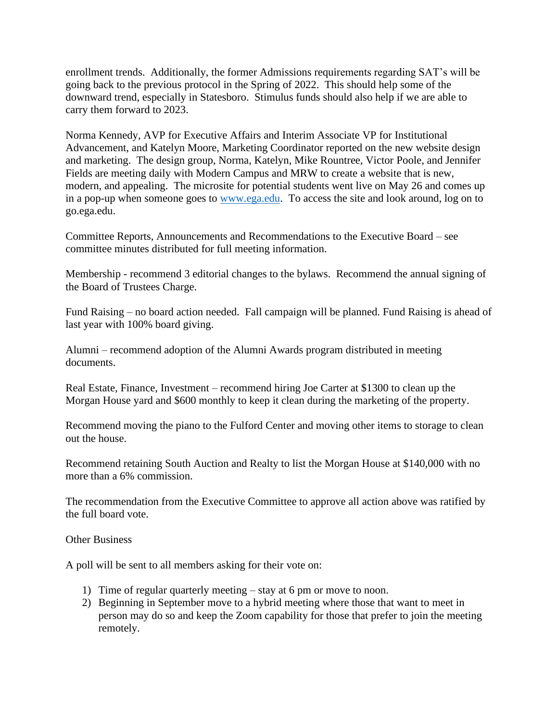enrollment trends. Additionally, the former Admissions requirements regarding SAT's will be going back to the previous protocol in the Spring of 2022. This should help some of the downward trend, especially in Statesboro. Stimulus funds should also help if we are able to carry them forward to 2023.

Norma Kennedy, AVP for Executive Affairs and Interim Associate VP for Institutional Advancement, and Katelyn Moore, Marketing Coordinator reported on the new website design and marketing. The design group, Norma, Katelyn, Mike Rountree, Victor Poole, and Jennifer Fields are meeting daily with Modern Campus and MRW to create a website that is new, modern, and appealing. The microsite for potential students went live on May 26 and comes up in a pop-up when someone goes to [www.ega.edu.](http://www.ega.edu/) To access the site and look around, log on to go.ega.edu.

Committee Reports, Announcements and Recommendations to the Executive Board – see committee minutes distributed for full meeting information.

Membership - recommend 3 editorial changes to the bylaws. Recommend the annual signing of the Board of Trustees Charge.

Fund Raising – no board action needed. Fall campaign will be planned. Fund Raising is ahead of last year with 100% board giving.

Alumni – recommend adoption of the Alumni Awards program distributed in meeting documents.

Real Estate, Finance, Investment – recommend hiring Joe Carter at \$1300 to clean up the Morgan House yard and \$600 monthly to keep it clean during the marketing of the property.

Recommend moving the piano to the Fulford Center and moving other items to storage to clean out the house.

Recommend retaining South Auction and Realty to list the Morgan House at \$140,000 with no more than a 6% commission.

The recommendation from the Executive Committee to approve all action above was ratified by the full board vote.

Other Business

A poll will be sent to all members asking for their vote on:

- 1) Time of regular quarterly meeting stay at 6 pm or move to noon.
- 2) Beginning in September move to a hybrid meeting where those that want to meet in person may do so and keep the Zoom capability for those that prefer to join the meeting remotely.